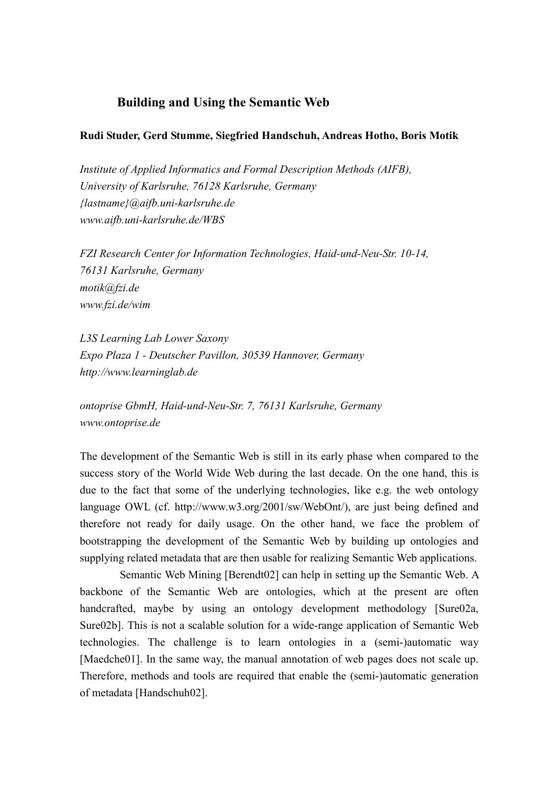## **Building and Using the Semantic Web**

## **Rudi Studer, Gerd Stumme, Siegfried Handschuh, Andreas Hotho, Boris Motik**

*Institute of Applied Informatics and Formal Description Methods (AIFB), University of Karlsruhe, 76128 Karlsruhe, Germany {lastname}@aifb.uni-karlsruhe.de www.aifb.uni-karlsruhe.de/WBS* 

*FZI Research Center for Information Technologies, Haid-und-Neu-Str. 10-14, 76131 Karlsruhe, Germany motik@fzi.de www.fzi.de/wim* 

*L3S Learning Lab Lower Saxony Expo Plaza 1 - Deutscher Pavillon, 30539 Hannover, Germany http://www.learninglab.de* 

*ontoprise GbmH, Haid-und-Neu-Str. 7, 76131 Karlsruhe, Germany www.ontoprise.de*

The development of the Semantic Web is still in its early phase when compared to the success story of the World Wide Web during the last decade. On the one hand, this is due to the fact that some of the underlying technologies, like e.g. the web ontology language OWL (cf. http://www.w3.org/2001/sw/WebOnt/), are just being defined and therefore not ready for daily usage. On the other hand, we face the problem of bootstrapping the development of the Semantic Web by building up ontologies and supplying related metadata that are then usable for realizing Semantic Web applications.

 Semantic Web Mining [Berendt02] can help in setting up the Semantic Web. A backbone of the Semantic Web are ontologies, which at the present are often handcrafted, maybe by using an ontology development methodology [Sure02a, Sure02b]. This is not a scalable solution for a wide-range application of Semantic Web technologies. The challenge is to learn ontologies in a (semi-)automatic way [Maedche01]. In the same way, the manual annotation of web pages does not scale up. Therefore, methods and tools are required that enable the (semi-)automatic generation of metadata [Handschuh02].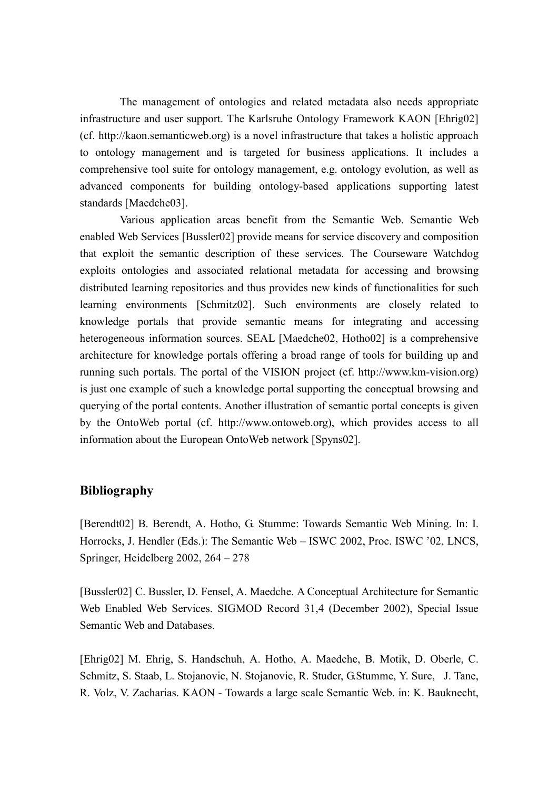The management of ontologies and related metadata also needs appropriate infrastructure and user support. The Karlsruhe Ontology Framework KAON [Ehrig02] (cf. http://kaon.semanticweb.org) is a novel infrastructure that takes a holistic approach to ontology management and is targeted for business applications. It includes a comprehensive tool suite for ontology management, e.g. ontology evolution, as well as advanced components for building ontology-based applications supporting latest standards [Maedche03].

 Various application areas benefit from the Semantic Web. Semantic Web enabled Web Services [Bussler02] provide means for service discovery and composition that exploit the semantic description of these services. The Courseware Watchdog exploits ontologies and associated relational metadata for accessing and browsing distributed learning repositories and thus provides new kinds of functionalities for such learning environments [Schmitz02]. Such environments are closely related to knowledge portals that provide semantic means for integrating and accessing heterogeneous information sources. SEAL [Maedche02, Hotho02] is a comprehensive architecture for knowledge portals offering a broad range of tools for building up and running such portals. The portal of the VISION project (cf. http://www.km-vision.org) is just one example of such a knowledge portal supporting the conceptual browsing and querying of the portal contents. Another illustration of semantic portal concepts is given by the OntoWeb portal (cf. http://www.ontoweb.org), which provides access to all information about the European OntoWeb network [Spyns02].

## **Bibliography**

[Berendt02] B. Berendt, A. Hotho, G. Stumme: Towards Semantic Web Mining. In: I. Horrocks, J. Hendler (Eds.): The Semantic Web – ISWC 2002, Proc. ISWC '02, LNCS, Springer, Heidelberg 2002, 264 – 278

[Bussler02] C. Bussler, D. Fensel, A. Maedche. A Conceptual Architecture for Semantic Web Enabled Web Services. SIGMOD Record 31,4 (December 2002), Special Issue Semantic Web and Databases.

[Ehrig02] M. Ehrig, S. Handschuh, A. Hotho, A. Maedche, B. Motik, D. Oberle, C. Schmitz, S. Staab, L. Stojanovic, N. Stojanovic, R. Studer, G.Stumme, Y. Sure, J. Tane, R. Volz, V. Zacharias. KAON - Towards a large scale Semantic Web. in: K. Bauknecht,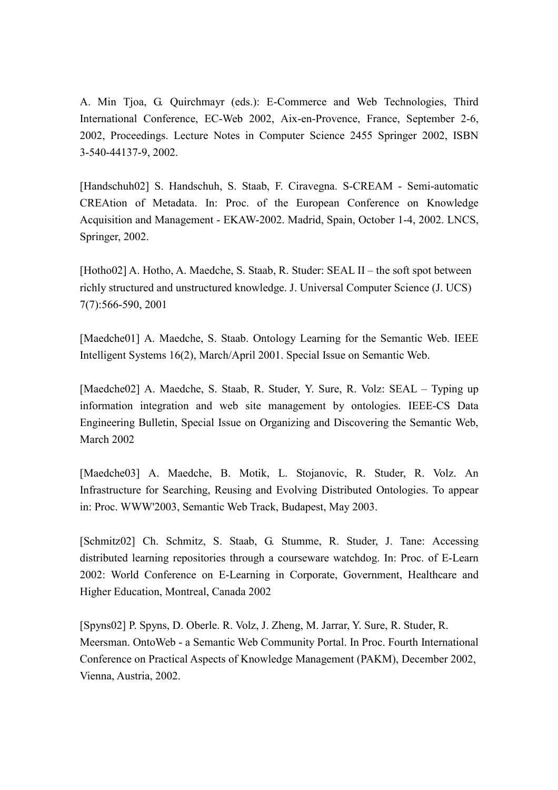A. Min Tjoa, G. Quirchmayr (eds.): E-Commerce and Web Technologies, Third International Conference, EC-Web 2002, Aix-en-Provence, France, September 2-6, 2002, Proceedings. Lecture Notes in Computer Science 2455 Springer 2002, ISBN 3-540-44137-9, 2002.

[Handschuh02] S. Handschuh, S. Staab, F. Ciravegna. S-CREAM - Semi-automatic CREAtion of Metadata. In: Proc. of the European Conference on Knowledge Acquisition and Management - EKAW-2002. Madrid, Spain, October 1-4, 2002. LNCS, Springer, 2002.

[Hotho02] A. Hotho, A. Maedche, S. Staab, R. Studer: SEAL II – the soft spot between richly structured and unstructured knowledge. J. Universal Computer Science (J. UCS) 7(7):566-590, 2001

[Maedche01] A. Maedche, S. Staab. Ontology Learning for the Semantic Web. IEEE Intelligent Systems 16(2), March/April 2001. Special Issue on Semantic Web.

[Maedche02] A. Maedche, S. Staab, R. Studer, Y. Sure, R. Volz: SEAL – Typing up information integration and web site management by ontologies. IEEE-CS Data Engineering Bulletin, Special Issue on Organizing and Discovering the Semantic Web, March 2002

[Maedche03] A. Maedche, B. Motik, L. Stojanovic, R. Studer, R. Volz. An Infrastructure for Searching, Reusing and Evolving Distributed Ontologies. To appear in: Proc. WWW'2003, Semantic Web Track, Budapest, May 2003.

[Schmitz02] Ch. Schmitz, S. Staab, G. Stumme, R. Studer, J. Tane: Accessing distributed learning repositories through a courseware watchdog. In: Proc. of E-Learn 2002: World Conference on E-Learning in Corporate, Government, Healthcare and Higher Education, Montreal, Canada 2002

[Spyns02] P. Spyns, D. Oberle. R. Volz, J. Zheng, M. Jarrar, Y. Sure, R. Studer, R. Meersman. OntoWeb - a Semantic Web Community Portal. In Proc. Fourth International Conference on Practical Aspects of Knowledge Management (PAKM), December 2002, Vienna, Austria, 2002.